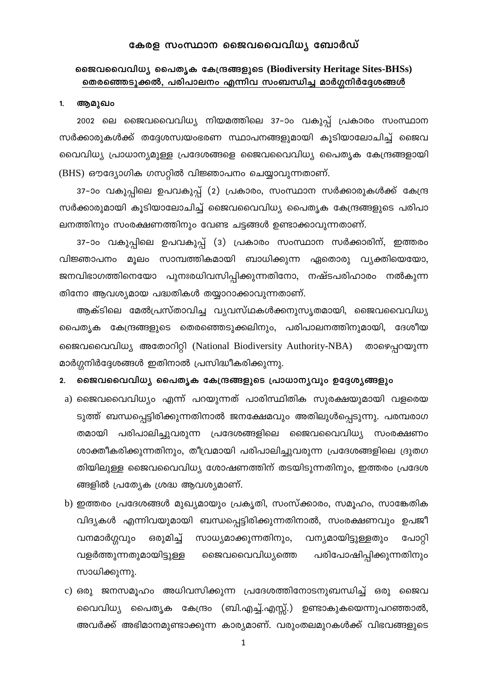## കേരള സംസ്ഥാന ജൈവവൈവിധ്യ ബോർഡ്

## ജൈവവൈവിധ്യ പൈതൃക കേന്ദ്രങ്ങളുടെ (Biodiversity Heritage Sites-BHSs) തെരഞ്ഞെടുക്കൽ, പരിപാലനം എന്നിവ സംബന്ധിച്ച മാർഗ്ഗനിർദ്ദേശങ്ങൾ

#### $1.$ ആമുഖം

2002 ലെ ജൈവവൈവിധ്യ നിയമത്തിലെ 37–ാം വകുപ്പ് പ്രകാരം സംസ്ഥാന സർക്കാരുകൾക്ക് തദ്ദേശസ്വയംഭരണ സ്ഥാപനങ്ങളുമായി കൂടിയാലോചിച്ച് ജൈവ വൈവിധ്യ പ്രാധാന്യമുള്ള പ്രദേശങ്ങളെ ജൈവവൈവിധ്യ പൈതൃക കേന്ദ്രങ്ങളായി (BHS) ഔദ്യോഗിക ഗസറ്റിൽ വിജ്ഞാപനം ചെയ്യാവുന്നതാണ്.

37–ാം വകുപ്പിലെ ഉപവകുപ്പ് (2) പ്രകാരം, സംസ്ഥാന സർക്കാരുകൾക്ക് കേന്ദ്ര സർക്കാരുമായി കൂടിയാലോചിച്ച് ജൈവവൈവിധ്യ പൈതൃക കേന്ദ്രങ്ങളുടെ പരിപാ ലനത്തിനും സംരക്ഷണത്തിനും വേണ്ട ചട്ടങ്ങൾ ഉണ്ടാക്കാവുന്നതാണ്.

37–ാം വകുപ്പിലെ ഉപവകുപ്പ് (3) പ്രകാരം സംസ്ഥാന സർക്കാരിന്, ഇത്തരം വിജ്ഞാപനം മൂലം സാമ്പത്തികമായി ബാധിക്കുന്ന ഏതൊരു വ്യക്തിയെയോ, ജനവിഭാഗത്തിനെയോ പുനഃരധിവസിപ്പിക്കുന്നതിനോ, നഷ്ടപരിഹാരം നൽകുന്ന തിനോ ആവശ്യമായ പദ്ധതികൾ തയ്യാറാക്കാവുന്നതാണ്.

ആക്ടിലെ മേൽപ്രസ്താവിച്ച വ്യവസ്ഥകൾക്കനുസൃതമായി, ജൈവവൈവിധ്യ പൈതൃക കേന്ദ്രങ്ങളുടെ തെരഞ്ഞെടുക്കലിനും, പരിപാലനത്തിനുമായി, ദേശീയ ജൈവവൈവിധ്യ അതോറിറ്റി (National Biodiversity Authority-NBA) താഴെപ്പറയുന്ന മാർഗ്ഗനിർദ്ദേശങ്ങൾ ഇതിനാൽ പ്രസിദ്ധീകരിക്കുന്നു.

#### ജൈവവൈവിധ്യ പൈതൃക കേന്ദ്രങ്ങളുടെ പ്രാധാന്യവും ഉദ്ദേശ്യങ്ങളും  $2.$

- a) ജൈവവൈവിധ്യം എന്ന് പറയുന്നത് പാരിസ്ഥിതിക സുരക്ഷയുമായി വളരെയ ടുത്ത് ബന്ധപ്പെട്ടിരിക്കുന്നതിനാൽ ജനക്ഷേമവും അതിലുൾപ്പെടുന്നു. പരമ്പരാഗ തമായി പരിപാലിച്ചുവരുന്ന പ്രദേശങ്ങളിലെ ജൈവവൈവിധ്യ സംരക്ഷണം ശാക്തീകരിക്കുന്നതിനും, തീവ്രമായി പരിപാലിച്ചുവരുന്ന പ്രദേശങ്ങളിലെ ദ്രുതഗ തിയിലുള്ള ജൈവവൈവിധ്യ ശോഷണത്തിന് തടയിടുന്നതിനും, ഇത്തരം പ്രദേശ ങ്ങളിൽ പ്രത്യേക ശ്രദ്ധ ആവശ്യമാണ്.
- b) ഇത്തരം പ്രദേശങ്ങൾ മുഖ്യമായും പ്രകൃതി, സംസ്ക്കാരം, സമൂഹം, സാങ്കേതിക വിദ്യകൾ എന്നിവയുമായി ബന്ധപ്പെട്ടിരിക്കുന്നതിനാൽ, സംരക്ഷണവും ഉപജീ ഒരുമിച്ച് സാധ്യമാക്കുന്നതിനും, വന്യമായിട്ടുള്ളതും വനമാർഗ്ഗവും പോറ്റി ജൈവവൈവിധ്യത്തെ വളർത്തുന്നതുമായിട്ടുള്ള പരിപോഷിപ്പിക്കുന്നതിനും സാധിക്കുന്നു.
- c) ഒരു ജനസമൂഹം അധിവസിക്കുന്ന പ്രദേശത്തിനോടനുബന്ധിച്ച് ഒരു ജൈവ വൈവിധ്യ പൈതൃക കേന്ദ്രം (ബി.എച്ച്.എസ്സ്.) ഉണ്ടാകുകയെന്നുപറഞ്ഞാൽ, അവർക്ക് അഭിമാനമുണ്ടാക്കുന്ന കാര്യമാണ്. വരുംതലമുറകൾക്ക് വിഭവങ്ങളുടെ

 $\mathbf 1$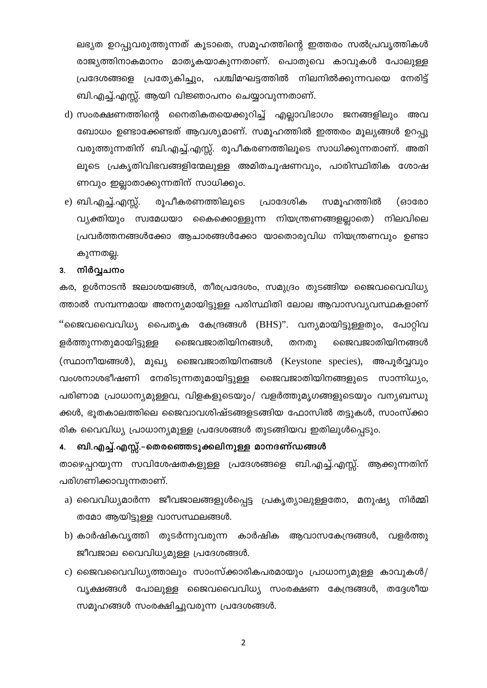ലഭ്യത ഉറപ്പുവരുത്തുന്നത് കൂടാതെ, സമൂഹത്തിന്റെ ഇത്തരം സൽപ്രവൃത്തികൾ രാജ്യത്തിനാകമാനം മാതൃകയാകുന്നതാണ്. പൊതുവെ കാവുകൾ പോലുള്ള പ്രദേശങ്ങളെ പ്രത്യേകിച്ചും, പശ്ചിമഘട്ടത്തിൽ നിലനിൽക്കുന്നവയെ നേരിട്ട് ബി.എച്ച്.എസ്സ്. ആയി വിജ്ഞാപനം ചെയ്യാവുന്നതാണ്.

- d) സംരക്ഷണത്തിന്റെ നൈതികതയെക്കുറിച്ച് എല്ലാവിഭാഗം ജനങ്ങളിലും അവ ബോധം ഉണ്ടാക്കേണ്ടത് ആവശ്യമാണ്. സമൂഹത്തിൽ ഇത്തരം മൂല്യങ്ങൾ ഉറപ്പു വരുത്തുന്നതിന് ബി.എച്ച്.എസ്സ്. രൂപീകരണത്തിലൂടെ സാധിക്കുന്നതാണ്. അതി ലൂടെ പ്രകൃതിവിഭവങ്ങളിന്മേലുള്ള അമിതചൂഷണവും, പാരിസ്ഥിതിക ശോഷ ണവും ഇല്ലാതാക്കുന്നതിന് സാധിക്കും.
- e) ബി.എച്ച്.എസ്സ്. രൂപീകരണത്തിലൂടെ പ്രാദേശിക സമൂഹത്തിൽ (ഓരോ വ്യക്തിയും സ്വമേധയാ കൈക്കൊള്ളുന്ന നിയന്ത്രണങ്ങളല്ലാതെ) നിലവിലെ പ്രവർത്തനങ്ങൾക്കോ ആചാരങ്ങൾക്കോ യാതൊരുവിധ നിയന്ത്രണവും ഉണ്ടാ കുന്നതല്ല.

#### നിർവ്വചനം  $3.$

കര, ഉൾനാടൻ ജലാശയങ്ങൾ, തീരപ്രദേശം, സമുദ്രം തുടങ്ങിയ ജൈവവൈവിധ്യ ത്താൽ സമ്പന്നമായ അനന്യമായിട്ടുള്ള പരിസ്ഥിതി ലോല ആവാസവ്യവസ്ഥകളാണ് ''ജൈവവൈവിധ്യ പൈതൃക കേന്ദ്രങ്ങൾ (BHS)''. വന്യമായിട്ടുള്ളതും, പോറ്റിവ ളർത്തുന്നതുമായിട്ടുള്ള ജൈവജാതിയിനങ്ങൾ, തനതു ജൈവജാതിയിനങ്ങൾ (സ്ഥാനീയങ്ങൾ), മുഖ്യ ജൈവജാതിയിനങ്ങൾ (Keystone species), അപൂർവ്വവും വംശനാശഭീഷണി നേരിടുന്നതുമായിട്ടുള്ള ജൈവജാതിയിനങ്ങളുടെ സാന്നിധ്യം, പരിണാമ പ്രാധാന്യമുള്ളവ, വിളകളുടെയും/ വളർത്തുമൃഗങ്ങളുടെയും വന്യബന്ധു ക്കൾ, ഭൂതകാലത്തിലെ ജൈവാവശിഷ്ടങ്ങളടങ്ങിയ ഫോസിൽ തട്ടുകൾ, സാംസ്ക്കാ രിക വൈവിധ്യ പ്രാധാന്യമുള്ള പ്രദേശങ്ങൾ തുടങ്ങിയവ ഇതിലുൾപ്പെടും.

### ബി.എച്ച്.എസ്സ്.–തെരഞ്ഞെടുക്കലിനുള്ള മാനദണ്ഡങ്ങൾ 4.

താഴെപ്പറയുന്ന സവിശേഷതകളുള്ള പ്രദേശങ്ങളെ ബി.എച്ച്.എസ്സ്. ആക്കുന്നതിന് പരിഗണിക്കാവുന്നതാണ്.

- a) വൈവിധ്യമാർന്ന ജീവജാലങ്ങളുൾപ്പെട്ട പ്രകൃത്യാലുള്ളതോ, മനുഷ്യ നിർമ്മി തമോ ആയിട്ടുള്ള വാസസ്ഥലങ്ങൾ.
- b) കാർഷികവൃത്തി തുടർന്നുവരുന്ന കാർഷിക ആവാസകേന്ദ്രങ്ങൾ, വളർത്തു ജീവജാല വൈവിധ്യമുള്ള പ്രദേശങ്ങൾ.
- c) ജൈവവൈവിധൃത്താലും സാംസ്ക്കാരികപരമായും പ്രാധാനൃമുള്ള കാവുകൾ/ വൃക്ഷങ്ങൾ പോലുള്ള ജൈവവൈവിധ്യ സംരക്ഷണ കേന്ദ്രങ്ങൾ, തദ്ദേശീയ സമൂഹങ്ങൾ സംരക്ഷിച്ചുവരുന്ന പ്രദേശങ്ങൾ.

 $\overline{2}$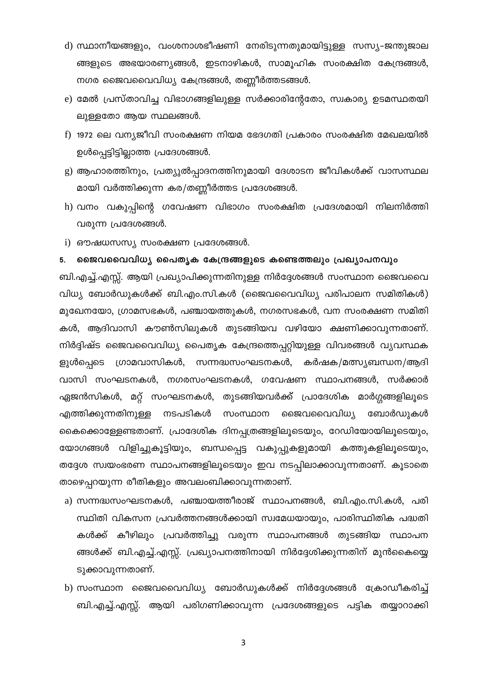- d) സ്ഥാനീയങ്ങളും, വംശനാശഭീഷണി നേരിടുന്നതുമായിട്ടുള്ള സസ്യ–ജന്തുജാല ങ്ങളുടെ അഭയാരണ്യങ്ങൾ, ഇടനാഴികൾ, സാമൂഹിക സംരക്ഷിത കേന്ദ്രങ്ങൾ, നഗര ജൈവവൈവിധ്യ കേന്ദ്രങ്ങൾ, തണ്ണീർത്തടങ്ങൾ.
- e) മേൽ പ്രസ്താവിച്ച വിഭാഗങ്ങളിലുള്ള സർക്കാരിന്റേതോ, സ്വകാര്യ ഉടമസ്ഥതയി ലുള്ളതോ ആയ സ്ഥലങ്ങൾ.
- f) 1972 ലെ വന്യജീവി സംരക്ഷണ നിയമ ഭേദഗതി പ്രകാരം സംരക്ഷിത മേഖലയിൽ ഉൾപ്പെട്ടിട്ടില്ലാത്ത പ്രദേശങ്ങൾ.
- g) ആഹാരത്തിനും, പ്രത്യുൽപ്പാദനത്തിനുമായി ദേശാടന ജീവികൾക്ക് വാസസ്ഥല മായി വർത്തിക്കുന്ന കര/തണ്ണീർത്തട പ്രദേശങ്ങൾ.
- h) വനം വകുപ്പിന്റെ ഗവേഷണ വിഭാഗം സംരക്ഷിത പ്രദേശമായി നിലനിർത്തി വരുന്ന പ്രദേശങ്ങൾ.
- i) ഔഷധസസ്യ സംരക്ഷണ പ്രദേശങ്ങൾ.

#### ജൈവവൈവിധ്യ പൈതൃക കേന്ദ്രങ്ങളുടെ കണ്ടെത്തലും പ്രഖ്യാപനവും 5.

ബി.എച്ച്.എസ്സ്. ആയി പ്രഖ്യാപിക്കുന്നതിനുള്ള നിർദ്ദേശങ്ങൾ സംസ്ഥാന ജൈവവൈ വിധ്യ ബോർഡുകൾക്ക് ബി.എം.സി.കൾ (ജൈവവൈവിധ്യ പരിപാലന സമിതികൾ) മുഖേനയോ, ഗ്രാമസഭകൾ, പഞ്ചായത്തുകൾ, നഗരസഭകൾ, വന സംരക്ഷണ സമിതി കൾ, ആദിവാസി കൗൺസിലുകൾ തുടങ്ങിയവ വഴിയോ ക്ഷണിക്കാവുന്നതാണ്. നിർദ്ദിഷ്ട ജൈവവൈവിധ്യ പൈതൃക കേന്ദ്രത്തെപ്പറ്റിയുള്ള വിവരങ്ങൾ വ്യവസ്ഥക ളുൾപ്പെടെ ഗ്രാമവാസികൾ, സന്നദ്ധസംഘടനകൾ, കർഷക/മത്സ്യബന്ധന/ആദി വാസി സംഘടനകൾ, നഗരസംഘടനകൾ, ഗവേഷണ സ്ഥാപനങ്ങൾ, സർക്കാർ ഏജൻസികൾ, മറ്റ് സംഘടനകൾ, തുടങ്ങിയവർക്ക് പ്രാദേശിക മാർഗ്ഗങ്ങളിലൂടെ എത്തിക്കുന്നതിനുള്ള നടപടികൾ സംസ്ഥാന ജൈവവൈവിധ്യ ബോർഡുകൾ കൈക്കൊള്ളേണ്ടതാണ്. പ്രാദേശിക ദിനപ്പത്രങ്ങളിലൂടെയും, റേഡിയോയിലൂടെയും, യോഗങ്ങൾ വിളിച്ചുകൂട്ടിയും, ബന്ധപ്പെട്ട വകുപ്പുകളുമായി കത്തുകളിലൂടെയും, തദ്ദേശ സ്വയംഭരണ സ്ഥാപനങ്ങളിലൂടെയും ഇവ നടപ്പിലാക്കാവുന്നതാണ്. കൂടാതെ താഴെപ്പറയുന്ന രീതികളും അവലംബിക്കാവുന്നതാണ്.

- a) സന്നദ്ധസംഘടനകൾ, പഞ്ചായത്തീരാജ് സ്ഥാപനങ്ങൾ, ബി.എം.സി.കൾ, പരി സ്ഥിതി വികസന പ്രവർത്തനങ്ങൾക്കായി സ്വമേധയായും, പാരിസ്ഥിതിക പദ്ധതി കൾക്ക് കീഴിലും പ്രവർത്തിച്ചു വരുന്ന സ്ഥാപനങ്ങൾ തുടങ്ങിയ സ്ഥാപന ങ്ങൾക്ക് ബി.എച്ച്.എസ്സ്. പ്രഖ്യാപനത്തിനായി നിർദ്ദേശിക്കുന്നതിന് മുൻകൈയ്യെ ടുക്കാവുന്നതാണ്.
- b) സംസ്ഥാന ജൈവവൈവിധ്യ ബോർഡുകൾക്ക് നിർദ്ദേശങ്ങൾ ക്രോഡീകരിച്ച് ബി.എച്ച്.എസ്സ്. ആയി പരിഗണിക്കാവുന്ന പ്രദേശങ്ങളുടെ പട്ടിക തയ്യാറാക്കി

 $\mathsf 3$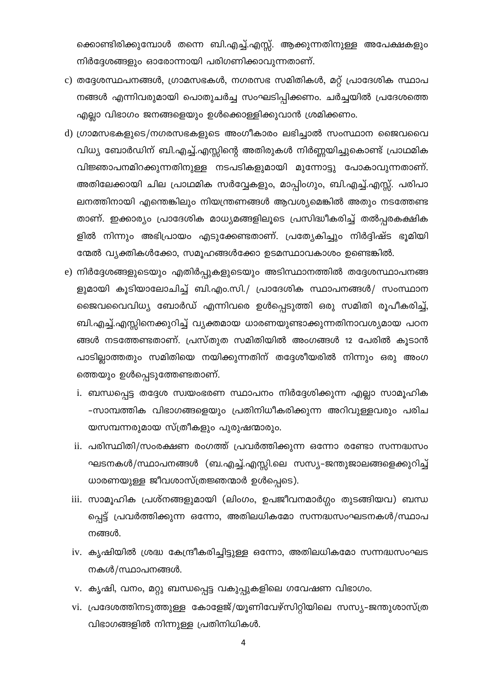ക്കൊണ്ടിരിക്കുമ്പോൾ തന്നെ ബി.എച്ച്.എസ്സ്. ആക്കുന്നതിനുള്ള അപേക്ഷകളും നിർദ്ദേശങ്ങളും ഓരോന്നായി പരിഗണിക്കാവുന്നതാണ്.

- c) തദ്ദേശസ്ഥപനങ്ങൾ, ഗ്രാമസഭകൾ, നഗരസഭ സമിതികൾ, മറ്റ് പ്രാദേശിക സ്ഥാപ നങ്ങൾ എന്നിവരുമായി പൊതുചർച്ച സംഘടിപ്പിക്കണം. ചർച്ചയിൽ പ്രദേശത്തെ എല്ലാ വിഭാഗം ജനങ്ങളെയും ഉൾക്കൊള്ളിക്കുവാൻ ശ്രമിക്കണം.
- d) ഗ്രാമസഭകളുടെ/നഗരസഭകളുടെ അംഗീകാരം ലഭിച്ചാൽ സംസ്ഥാന ജൈവവൈ വിധ്യ ബോർഡിന് ബി.എച്ച്.എസ്സിന്റെ അതിരുകൾ നിർണ്ണയിച്ചുകൊണ്ട് പ്രാഥമിക വിജ്ഞാപനമിറക്കുന്നതിനുള്ള നടപടികളുമായി മുന്നോട്ടു പോകാവുന്നതാണ്. അതിലേക്കായി ചില പ്രാഥമിക സർവ്വേകളും, മാപ്പിംഗും, ബി.എച്ച്.എസ്സ്. പരിപാ ലനത്തിനായി എന്തെങ്കിലും നിയന്ത്രണങ്ങൾ ആവശ്യമെങ്കിൽ അതും നടത്തേണ്ട താണ്. ഇക്കാര്യം പ്രാദേശിക മാധ്യമങ്ങളിലൂടെ പ്രസിദ്ധീകരിച്ച് തൽപ്പരകക്ഷിക ളിൽ നിന്നും അഭിപ്രായം എടുക്കേണ്ടതാണ്. പ്രത്യേകിച്ചും നിർദ്ദിഷ്ട ഭൂമിയി ന്മേൽ വ്യക്തികൾക്കോ, സമൂഹങ്ങൾക്കോ ഉടമസ്ഥാവകാശം ഉണ്ടെങ്കിൽ.
- e) നിർദ്ദേശങ്ങളുടെയും എതിർപ്പുകളുടെയും അടിസ്ഥാനത്തിൽ തദ്ദേശസ്ഥാപനങ്ങ ളുമായി കൂടിയാലോചിച്ച് ബി.എം.സി./ പ്രാദേശിക സ്ഥാപനങ്ങൾ/ സംസ്ഥാന ജൈവവൈവിധ്യ ബോർഡ് എന്നിവരെ ഉൾപ്പെടുത്തി ഒരു സമിതി രൂപീകരിച്ച്, ബി.എച്ച്.എസ്സിനെക്കുറിച്ച് വ്യക്തമായ ധാരണയുണ്ടാക്കുന്നതിനാവശ്യമായ പഠന ങ്ങൾ നടത്തേണ്ടതാണ്. പ്രസ്തുത സമിതിയിൽ അംഗങ്ങൾ 12 പേരിൽ കൂടാൻ പാടില്ലാത്തതും സമിതിയെ നയിക്കുന്നതിന് തദ്ദേശീയരിൽ നിന്നും ഒരു അംഗ ത്തെയും ഉൾപ്പെടുത്തേണ്ടതാണ്.
	- i. ബന്ധപ്പെട്ട തദ്ദേശ സ്വയംഭരണ സ്ഥാപനം നിർദ്ദേശിക്കുന്ന എല്ലാ സാമൂഹിക -സാമ്പത്തിക വിഭാഗങ്ങളെയും പ്രതിനിധീകരിക്കുന്ന അറിവുള്ളവരും പരിച യസമ്പന്നരുമായ സ്ത്രീകളും പുരുഷന്മാരും.
	- ii. പരിസ്ഥിതി/സംരക്ഷണ രംഗത്ത് പ്രവർത്തിക്കുന്ന ഒന്നോ രണ്ടോ സന്നദ്ധസം ഘടനകൾ/സ്ഥാപനങ്ങൾ (ബ.എച്ച്.എസ്സി.ലെ സസ്യ–ജന്തുജാലങ്ങളെക്കുറിച്ച് ധാരണയുള്ള ജീവശാസ്ത്രജ്ഞന്മാർ ഉൾപ്പെടെ).
	- iii. സാമൂഹിക പ്രശ്നങ്ങളുമായി (ലിംഗം, ഉപജീവനമാർഗ്ഗം തുടങ്ങിയവ) ബന്ധ പ്പെട്ട് പ്രവർത്തിക്കുന്ന ഒന്നോ, അതിലധികമോ സന്നദ്ധസംഘടനകൾ/സ്ഥാപ നങ്ങൾ.
	- iv. കൃഷിയിൽ ശ്രദ്ധ കേന്ദ്രീകരിച്ചിട്ടുള്ള ഒന്നോ, അതിലധികമോ സന്നദ്ധസംഘട നകൾ/സ്ഥാപനങ്ങൾ.
	- v. കൃഷി, വനം, മറ്റു ബന്ധപ്പെട്ട വകുപ്പുകളിലെ ഗവേഷണ വിഭാഗം.
	- vi. പ്രദേശത്തിനടുത്തുള്ള കോളേജ്/യൂണിവേഴ്സിറ്റിയിലെ സസ്യ–ജന്തുശാസ്ത്ര വിഭാഗങ്ങളിൽ നിന്നുള്ള പ്രതിനിധികൾ.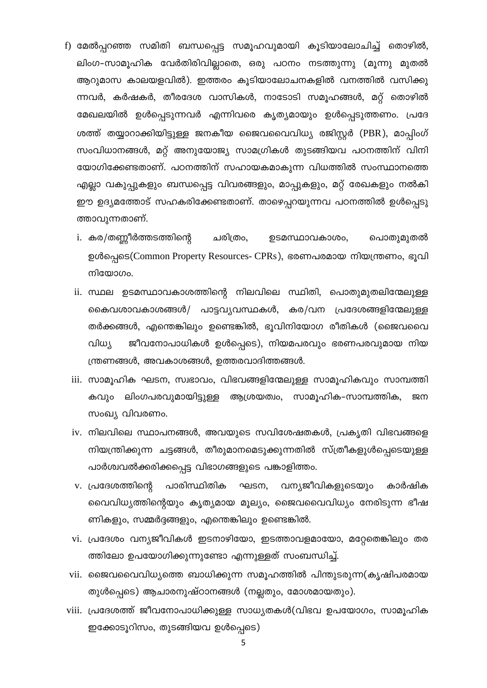- f) മേൽപ്പറഞ്ഞ സമിതി ബന്ധപ്പെട്ട സമൂഹവുമായി കൂടിയാലോചിച്ച് തൊഴിൽ, ലിംഗ-സാമൂഹിക വേർതിരിവില്ലാതെ, ഒരു പഠനം നടത്തുന്നു (മൂന്നു മുതൽ ആറുമാസ കാലയളവിൽ). ഇത്തരം കൂടിയാലോചനകളിൽ വനത്തിൽ വസിക്കു ന്നവർ, കർഷകർ, തീരദേശ വാസികൾ, നാടോടി സമൂഹങ്ങൾ, മറ്റ് തൊഴിൽ മേഖലയിൽ ഉൾപ്പെടുന്നവർ എന്നിവരെ കൃത്യമായും ഉൾപ്പെടുത്തണം. പ്രദേ ശത്ത് തയ്യാറാക്കിയിട്ടുള്ള ജനകീയ ജൈവവൈവിധ്യ രജിസ്റ്റർ (PBR), മാപ്പിംഗ് സംവിധാനങ്ങൾ, മറ്റ് അനുയോജ്യ സാമഗ്രികൾ തുടങ്ങിയവ പഠനത്തിന് വിനി യോഗിക്കേണ്ടതാണ്. പഠനത്തിന് സഹായകമാകുന്ന വിധത്തിൽ സംസ്ഥാനത്തെ എല്ലാ വകുപ്പുകളും ബന്ധപ്പെട്ട വിവരങ്ങളും, മാപ്പുകളും, മറ്റ് രേഖകളും നൽകി ഈ ഉദ്യമത്തോട് സഹകരിക്കേണ്ടതാണ്. താഴെപ്പറയുന്നവ പഠനത്തിൽ ഉൾപ്പെടു ത്താവുന്നതാണ്.
	- i. കര/തണ്ണീർത്തടത്തിന്റെ ചരിത്രം, ഉടമസ്ഥാവകാശം, പൊതുമുതൽ ഉൾപ്പെടെ(Common Property Resources- CPRs), ഭരണപരമായ നിയന്ത്രണം, ഭൂവി നിയോഗം.
	- ii. സ്ഥല ഉടമസ്ഥാവകാശത്തിന്റെ നിലവിലെ സ്ഥിതി, പൊതുമുതലിന്മേലുള്ള കൈവശാവകാശങ്ങൾ/ പാട്ടവ്യവസ്ഥകൾ, കര/വന പ്രദേശങ്ങളിന്മേലുള്ള തർക്കങ്ങൾ, എന്തെങ്കിലും ഉണ്ടെങ്കിൽ, ഭൂവിനിയോഗ രീതികൾ (ജൈവവൈ ജീവനോപാധികൾ ഉൾപ്പെടെ), നിയമപരവും ഭരണപരവുമായ നിയ വിധ്യ ന്ത്രണങ്ങൾ, അവകാശങ്ങൾ, ഉത്തരവാദിത്തങ്ങൾ.
	- iii. സാമൂഹിക ഘടന, സ്വഭാവം, വിഭവങ്ങളിന്മേലുള്ള സാമൂഹികവും സാമ്പത്തി കവും ലിംഗപരവുമായിട്ടുള്ള ആശ്രയത്വം, സാമൂഹിക-സാമ്പത്തിക, ജന സംഖ്യ വിവരണം.
	- iv. നിലവിലെ സ്ഥാപനങ്ങൾ, അവയുടെ സവിശേഷതകൾ, പ്രകൃതി വിഭവങ്ങളെ നിയന്ത്രിക്കുന്ന ചട്ടങ്ങൾ, തീരുമാനമെടുക്കുന്നതിൽ സ്ത്രീകളുൾപ്പെടെയുള്ള പാർശ്വവൽക്കരിക്കപ്പെട്ട വിഭാഗങ്ങളുടെ പങ്കാളിത്തം.
	- v. പ്രദേശത്തിന്റെ പാരിസ്ഥിതിക ഘടന, വന്യജീവികളുടെയും കാർഷിക വൈവിധ്യത്തിന്റെയും കൃത്യമായ മൂല്യം, ജൈവവൈവിധ്യം നേരിടുന്ന ഭീഷ ണികളും, സമ്മർദ്ദങ്ങളും, എന്തെങ്കിലും ഉണ്ടെങ്കിൽ.
	- vi. പ്രദേശം വന്യജീവികൾ ഇടനാഴിയോ, ഇടത്താവളമായോ, മറ്റേതെങ്കിലും തര ത്തിലോ ഉപയോഗിക്കുന്നുണ്ടോ എന്നുള്ളത് സംബന്ധിച്ച്.
- vii. ജൈവവൈവിധ്യത്തെ ബാധിക്കുന്ന സമൂഹത്തിൽ പിന്തുടരുന്ന(കൃഷിപരമായ തുൾപ്പെടെ) ആചാരനുഷ്ഠാനങ്ങൾ (നല്ലതും, മോശമായതും).
- viii. പ്രദേശത്ത് ജീവനോപാധിക്കുള്ള സാധ്യതകൾ(വിഭവ ഉപയോഗം, സാമൂഹിക ഇക്കോടൂറിസം, തുടങ്ങിയവ ഉൾപ്പെടെ)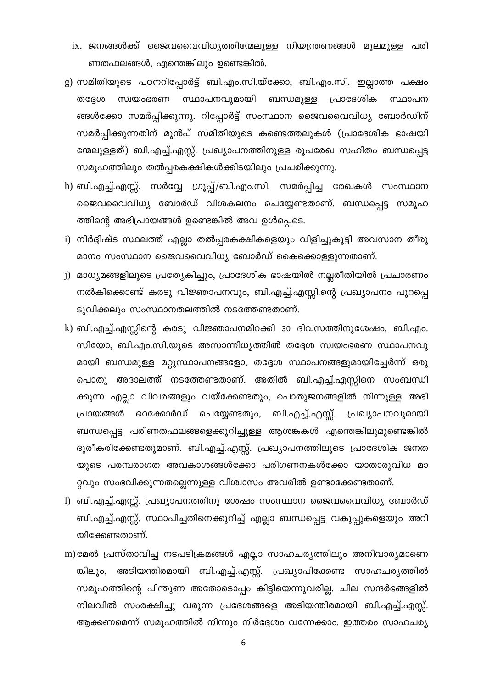- ix. ജനങ്ങൾക്ക് ജൈവവൈവിധ്യത്തിന്മേലുള്ള നിയന്ത്രണങ്ങൾ മൂലമുള്ള പരി ണതഫലങ്ങൾ, എന്തെങ്കിലും ഉണ്ടെങ്കിൽ.
- g) സമിതിയുടെ പഠനറിപ്പോർട്ട് ബി.എം.സി.യ്ക്കോ, ബി.എം.സി. ഇല്ലാത്ത പക്ഷം സ്വയംഭരണ സ്ഥാപനവുമായി ബന്ധമുള്ള പ്രാദേശിക തദ്ദേശ സ്ഥാപന ങ്ങൾക്കോ സമർപ്പിക്കുന്നു. റിപ്പോർട്ട് സംസ്ഥാന ജൈവവൈവിധ്യ ബോർഡിന് സമർപ്പിക്കുന്നതിന് മുൻപ് സമിതിയുടെ കണ്ടെത്തലുകൾ (പ്രാദേശിക ഭാഷയി ന്മേലുള്ളത്) ബി.എച്ച്.എസ്സ്. പ്രഖ്യാപനത്തിനുള്ള രൂപരേഖ സഹിതം ബന്ധപ്പെട്ട സമൂഹത്തിലും തൽപ്പരകക്ഷികൾക്കിടയിലും പ്രചരിക്കുന്നു.
- h) ബി.എച്ച്.എസ്സ്. സർവ്വേ ഗ്രൂപ്പ്/ബി.എം.സി. സമർപ്പിച്ച രേഖകൾ സംസ്ഥാന ജൈവവൈവിധ്യ ബോർഡ് വിശകലനം ചെയ്യേണ്ടതാണ്. ബന്ധപ്പെട്ട സമൂഹ ത്തിന്റെ അഭിപ്രായങ്ങൾ ഉണ്ടെങ്കിൽ അവ ഉൾപ്പെടെ.
- i) നിർദ്ദിഷ്ട സ്ഥലത്ത് എല്ലാ തൽപ്പരകക്ഷികളെയും വിളിച്ചുകൂട്ടി അവസാന തീരു മാനം സംസ്ഥാന ജൈവവൈവിധ്യ ബോർഡ് കൈക്കൊള്ളുന്നതാണ്.
- j) മാധ്യമങ്ങളിലൂടെ പ്രത്യേകിച്ചും, പ്രാദേശിക ഭാഷയിൽ നല്ലരീതിയിൽ പ്രചാരണം നൽകിക്കൊണ്ട് കരടു വിജ്ഞാപനവും, ബി.എച്ച്.എസ്സി.ന്റെ പ്രഖ്യാപനം പുറപ്പെ ടുവിക്കലും സംസ്ഥാനതലത്തിൽ നടത്തേണ്ടതാണ്.
- k) ബി.എച്ച്.എസ്സിന്റെ കരടു വിജ്ഞാപനമിറക്കി 30 ദിവസത്തിനുശേഷം, ബി.എം. സിയോ, ബി.എം.സി.യുടെ അസാന്നിധ്യത്തിൽ തദ്ദേശ സ്വയംഭരണ സ്ഥാപനവു മായി ബന്ധമുള്ള മറ്റുസ്ഥാപനങ്ങളോ, തദ്ദേശ സ്ഥാപനങ്ങളുമായിച്ചേർന്ന് ഒരു പൊതു അദാലത്ത് നടത്തേണ്ടതാണ്. അതിൽ ബി.എച്ച്.എസ്സിനെ സംബന്ധി ക്കുന്ന എല്ലാ വിവരങ്ങളും വയ്ക്കേണ്ടതും, പൊതുജനങ്ങളിൽ നിന്നുള്ള അഭി പ്രായങ്ങൾ റെക്കോർഡ് ചെയ്യേണ്ടതും, ബി.എച്ച്.എസ്സ്. പ്രഖ്യാപനവുമായി ബന്ധപ്പെട്ട പരിണതഫലങ്ങളെക്കുറിച്ചുള്ള ആശങ്കകൾ എന്തെങ്കിലുമുണ്ടെങ്കിൽ ദൂരീകരിക്കേണ്ടതുമാണ്. ബി.എച്ച്.എസ്സ്. പ്രഖ്യാപനത്തിലൂടെ പ്രാദേശിക ജനത യുടെ പരമ്പരാഗത അവകാശങ്ങൾക്കോ പരിഗണനകൾക്കോ യാതാരുവിധ മാ റ്റവും സംഭവിക്കുന്നതല്ലെന്നുള്ള വിശ്വാസം അവരിൽ ഉണ്ടാക്കേണ്ടതാണ്.
- l) ബി.എച്ച്.എസ്സ്. പ്രഖ്യാപനത്തിനു ശേഷം സംസ്ഥാന ജൈവവൈവിധ്യ ബോർഡ് ബി.എച്ച്.എസ്സ്. സ്ഥാപിച്ചതിനെക്കുറിച്ച് എല്ലാ ബന്ധപ്പെട്ട വകുപ്പുകളെയും അറി യിക്കേണ്ടതാണ്.
- m) മേൽ പ്രസ്താവിച്ച നടപടിക്രമങ്ങൾ എല്ലാ സാഹചര്യത്തിലും അനിവാര്യമാണെ ങ്കിലും, അടിയന്തിരമായി ബി.എച്ച്.എസ്സ്. പ്രഖ്യാപിക്കേണ്ട സാഹചര്യത്തിൽ സമൂഹത്തിന്റെ പിന്തുണ അതോടൊപ്പം കിട്ടിയെന്നുവരില്ല. ചില സന്ദർഭങ്ങളിൽ നിലവിൽ സംരക്ഷിച്ചു വരുന്ന പ്രദേശങ്ങളെ അടിയന്തിരമായി ബി.എച്ച്.എസ്സ്. ആക്കണമെന്ന് സമൂഹത്തിൽ നിന്നും നിർദ്ദേശം വന്നേക്കാം. ഇത്തരം സാഹചര്യ

 $\boldsymbol{6}$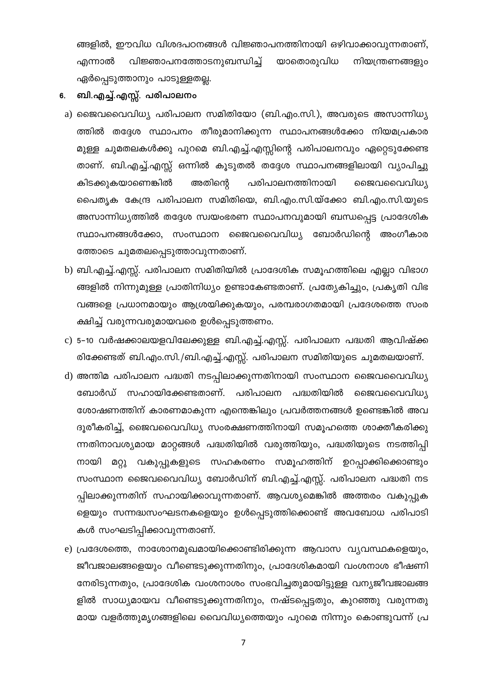ങ്ങളിൽ, ഈവിധ വിശദപഠനങ്ങൾ വിജ്ഞാപനത്തിനായി ഒഴിവാക്കാവുന്നതാണ്, വിജ്ഞാപനത്തോടനുബന്ധിച്ച് യാതൊരുവിധ നിയന്ത്രണങ്ങളും എന്നാൽ ഏർപ്പെടുത്താനും പാടുള്ളതല്ല.

### ബി.എച്ച്.എസ്സ്. പരിപാലനം 6.

- a) ജൈവവൈവിധ്യ പരിപാലന സമിതിയോ (ബി.എം.സി.), അവരുടെ അസാന്നിധ്യ ത്തിൽ തദ്ദേശ സ്ഥാപനം തീരുമാനിക്കുന്ന സ്ഥാപനങ്ങൾക്കോ നിയമപ്രകാര മുള്ള ചുമതലകൾക്കു പുറമെ ബി.എച്ച്.എസ്സിന്റെ പരിപാലനവും ഏറ്റെടുക്കേണ്ട താണ്. ബി.എച്ച്.എസ്സ് ഒന്നിൽ കൂടുതൽ തദ്ദേശ സ്ഥാപനങ്ങളിലായി വ്യാപിച്ചു കിടക്കുകയാണെങ്കിൽ അതിന്റെ പരിപാലനത്തിനായി ജൈവവൈവിധ്യ പൈതൃക കേന്ദ്ര പരിപാലന സമിതിയെ, ബി.എം.സി.യ്ക്കോ ബി.എം.സി.യുടെ അസാന്നിധ്യത്തിൽ തദ്ദേശ സ്വയംഭരണ സ്ഥാപനവുമായി ബന്ധപ്പെട്ട പ്രാദേശിക സ്ഥാപനങ്ങൾക്കോ, സംസ്ഥാന ജൈവവൈവിധ്യ ബോർഡിന്റെ അംഗീകാര ത്തോടെ ചുമതലപ്പെടുത്താവുന്നതാണ്.
- b) ബി.എച്ച്.എസ്സ്. പരിപാലന സമിതിയിൽ പ്രാദേശിക സമൂഹത്തിലെ എല്ലാ വിഭാഗ ങ്ങളിൽ നിന്നുമുള്ള പ്രാതിനിധ്യം ഉണ്ടാകേണ്ടതാണ്. പ്രത്യേകിച്ചും, പ്രകൃതി വിഭ വങ്ങളെ പ്രധാനമായും ആശ്രയിക്കുകയും, പരമ്പരാഗതമായി പ്രദേശത്തെ സംര ക്ഷിച്ച് വരുന്നവരുമായവരെ ഉൾപ്പെടുത്തണം.
- c) 5-10 വർഷക്കാലയളവിലേക്കുള്ള ബി.എച്ച്.എസ്സ്. പരിപാലന പദ്ധതി ആവിഷ്ക്ക രിക്കേണ്ടത് ബി.എം.സി./ബി.എച്ച്.എസ്സ്. പരിപാലന സമിതിയുടെ ചുമതലയാണ്.
- d) അന്തിമ പരിപാലന പദ്ധതി നടപ്പിലാക്കുന്നതിനായി സംസ്ഥാന ജൈവവൈവിധ്യ ബോർഡ് സഹായിക്കേണ്ടതാണ്. പരിപാലന പദ്ധതിയിൽ ജൈവവൈവിധ്യ ശോഷണത്തിന് കാരണമാകുന്ന എന്തെങ്കിലും പ്രവർത്തനങ്ങൾ ഉണ്ടെങ്കിൽ അവ ദൂരീകരിച്ച്, ജൈവവൈവിധ്യ സംരക്ഷണത്തിനായി സമൂഹത്തെ ശാക്തീകരിക്കു ന്നതിനാവശ്യമായ മാറ്റങ്ങൾ പദ്ധതിയിൽ വരുത്തിയും, പദ്ധതിയുടെ നടത്തിപ്പി നായി മറ്റു വകുപ്പുകളുടെ സഹകരണം സമൂഹത്തിന് ഉറപ്പാക്കിക്കൊണ്ടും സംസ്ഥാന ജൈവവൈവിധ്യ ബോർഡിന് ബി.എച്ച്.എസ്സ്. പരിപാലന പദ്ധതി നട പ്പിലാക്കുന്നതിന് സഹായിക്കാവുന്നതാണ്. ആവശ്യമെങ്കിൽ അത്തരം വകുപ്പുക ളെയും സന്നദ്ധസംഘടനകളെയും ഉൾപ്പെടുത്തിക്കൊണ്ട് അവബോധ പരിപാടി കൾ സംഘടിപ്പിക്കാവുന്നതാണ്.
- e) പ്രദേശത്തെ, നാശോനമുഖമായിക്കൊണ്ടിരിക്കുന്ന ആവാസ വ്യവസ്ഥകളെയും, ജീവജാലങ്ങളെയും വീണ്ടെടുക്കുന്നതിനും, പ്രാദേശികമായി വംശനാശ ഭീഷണി നേരിടുന്നതും, പ്രാദേശിക വംശനാശം സംഭവിച്ചതുമായിട്ടുള്ള വന്യജീവജാലങ്ങ ളിൽ സാധ്യമായവ വീണ്ടെടുക്കുന്നതിനും, നഷ്ടപ്പെട്ടതും, കുറഞ്ഞു വരുന്നതു മായ വളർത്തുമൃഗങ്ങളിലെ വൈവിധ്യത്തെയും പുറമെ നിന്നും കൊണ്ടുവന്ന് പ്ര

 $\overline{7}$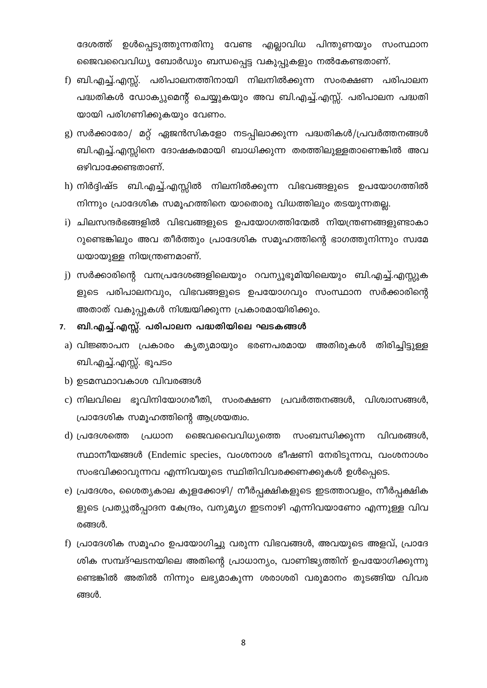ദേശത്ത് ഉൾപ്പെടുത്തുന്നതിനു വേണ്ട എല്ലാവിധ പിന്തുണയും സംസ്ഥാന ജൈവവൈവിധ്യ ബോർഡും ബന്ധപ്പെട്ട വകുപ്പുകളും നൽകേണ്ടതാണ്.

- f) ബി.എച്ച്.എസ്സ്. പരിപാലനത്തിനായി നിലനിൽക്കുന്ന സംരക്ഷണ പരിപാലന പദ്ധതികൾ ഡോക്യുമെന്റ് ചെയ്യുകയും അവ ബി.എച്ച്.എസ്സ്. പരിപാലന പദ്ധതി യായി പരിഗണിക്കുകയും വേണം.
- g) സർക്കാരോ/ മറ്റ് ഏജൻസികളോ നടപ്പിലാക്കുന്ന പദ്ധതികൾ/പ്രവർത്തനങ്ങൾ ബി.എച്ച്.എസ്സിനെ ദോഷകരമായി ബാധിക്കുന്ന തരത്തിലുള്ളതാണെങ്കിൽ അവ ഒഴിവാക്കേണ്ടതാണ്.
- h) നിർദ്ദിഷ്ട ബി.എച്ച്.എസ്സിൽ നിലനിൽക്കുന്ന വിഭവങ്ങളുടെ ഉപയോഗത്തിൽ നിന്നും പ്രാദേശിക സമൂഹത്തിനെ യാതൊരു വിധത്തിലും തടയുന്നതല്ല.
- i) ചിലസന്ദർഭങ്ങളിൽ വിഭവങ്ങളുടെ ഉപയോഗത്തിന്മേൽ നിയന്ത്രണങ്ങളുണ്ടാകാ റുണ്ടെങ്കിലും അവ തീർത്തും പ്രാദേശിക സമൂഹത്തിന്റെ ഭാഗത്തുനിന്നും സ്വമേ ധയായുള്ള നിയന്ത്രണമാണ്.
- j) സർക്കാരിന്റെ വനപ്രദേശങ്ങളിലെയും റവന്യൂഭൂമിയിലെയും ബി.എച്ച്.എസ്സുക ളുടെ പരിപാലനവും, വിഭവങ്ങളുടെ ഉപയോഗവും സംസ്ഥാന സർക്കാരിന്റെ അതാത് വകുപ്പുകൾ നിശ്ചയിക്കുന്ന പ്രകാരമായിരിക്കും.
- ബി.എച്ച്.എസ്സ്. പരിപാലന പദ്ധതിയിലെ ഘടകങ്ങൾ  $7.$
- a) വിജ്ഞാപന പ്രകാരം കൃത്യമായും ഭരണപരമായ അതിരുകൾ തിരിച്ചിട്ടുള്ള ബി.എച്ച്.എസ്സ്. ഭൂപടം
- b) ഉടമസ്ഥാവകാശ വിവരങ്ങൾ
- c) നിലവിലെ ഭുവിനിയോഗരീതി, സംരക്ഷണ പ്രവർത്തനങ്ങൾ, വിശ്വാസങ്ങൾ, പ്രാദേശിക സമൂഹത്തിന്റെ ആശ്രയത്വം.
- d) പ്രദേശത്തെ പ്രധാന ജൈവവൈവിധ്യത്തെ സംബന്ധിക്കുന്ന വിവരങ്ങൾ, സ്ഥാനീയങ്ങൾ (Endemic species, വംശനാശ ഭീഷണി നേരിടുന്നവ, വംശനാശം സംഭവിക്കാവുന്നവ എന്നിവയുടെ സ്ഥിതിവിവരക്കണക്കുകൾ ഉൾപ്പെടെ.
- e) പ്രദേശം, ശൈത്യകാല കുളക്കോഴി/ നീർപ്പക്ഷികളുടെ ഇടത്താവളം, നീർപ്പക്ഷിക ളുടെ പ്രത്യുൽപ്പാദന കേന്ദ്രം, വന്യമൃഗ ഇടനാഴി എന്നിവയാണോ എന്നുള്ള വിവ രങ്ങൾ.
- f) പ്രാദേശിക സമുഹം ഉപയോഗിച്ചു വരുന്ന വിഭവങ്ങൾ, അവയുടെ അളവ്, പ്രാദേ ശിക സമ്പദ്ഘടനയിലെ അതിന്റെ പ്രാധാന്യം, വാണിജ്യത്തിന് ഉപയോഗിക്കുന്നു ണ്ടെങ്കിൽ അതിൽ നിന്നും ലഭ്യമാകുന്ന ശരാശരി വരുമാനം തുടങ്ങിയ വിവര ങ്ങൾ.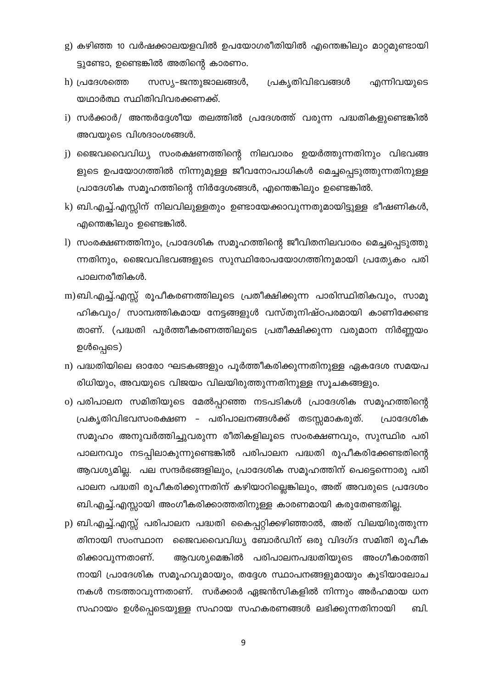- g) കഴിഞ്ഞ 10 വർഷക്കാലയളവിൽ ഉപയോഗരീതിയിൽ എന്തെങ്കിലും മാറ്റമുണ്ടായി ട്ടുണ്ടോ, ഉണ്ടെങ്കിൽ അതിന്റെ കാരണം.
- h) പ്രദേശത്തെ സസ്യ–ജന്തുജാലങ്ങൾ, പ്രകൃതിവിഭവങ്ങൾ എന്നിവയുടെ യഥാർത്ഥ സ്ഥിതിവിവരക്കണക്ക്.
- i) സർക്കാർ/ അന്തർദ്ദേശീയ തലത്തിൽ പ്രദേശത്ത് വരുന്ന പദ്ധതികളുണ്ടെങ്കിൽ അവയുടെ വിശദാംശങ്ങൾ.
- j) ജൈവവൈവിധ്യ സംരക്ഷണത്തിന്റെ നിലവാരം ഉയർത്തുന്നതിനും വിഭവങ്ങ ളുടെ ഉപയോഗത്തിൽ നിന്നുമുള്ള ജീവനോപാധികൾ മെച്ചപ്പെടുത്തുന്നതിനുള്ള പ്രാദേശിക സമൂഹത്തിന്റെ നിർദ്ദേശങ്ങൾ, എന്തെങ്കിലും ഉണ്ടെങ്കിൽ.
- k) ബി.എച്ച്.എസ്സിന് നിലവിലുള്ളതും ഉണ്ടായേക്കാവുന്നതുമായിട്ടുള്ള ഭീഷണികൾ, എന്തെങ്കിലും ഉണ്ടെങ്കിൽ.
- 1) സംരക്ഷണത്തിനും, പ്രാദേശിക സമൂഹത്തിന്റെ ജീവിതനിലവാരം മെച്ചപ്പെടുത്തു ന്നതിനും, ജൈവവിഭവങ്ങളുടെ സുസ്ഥിരോപയോഗത്തിനുമായി പ്രത്യേകം പരി പാലനരീതികൾ.
- m) ബി.എച്ച്.എസ്സ് രൂപീകരണത്തിലൂടെ പ്രതീക്ഷിക്കുന്ന പാരിസ്ഥിതികവും, സാമൂ ഹികവും/ സാമ്പത്തികമായ നേട്ടങ്ങളുൾ വസ്തുനിഷ്ഠപരമായി കാണിക്കേണ്ട താണ്. (പദ്ധതി പൂർത്തീകരണത്തിലൂടെ പ്രതീക്ഷിക്കുന്ന വരുമാന നിർണ്ണയം ഉൾപ്പെടെ)
- n) പദ്ധതിയിലെ ഓരോ ഘടകങ്ങളും പൂർത്തീകരിക്കുന്നതിനുള്ള ഏകദേശ സമയപ രിധിയും, അവയുടെ വിജയം വിലയിരുത്തുന്നതിനുള്ള സൂചകങ്ങളും.
- o) പരിപാലന സമിതിയുടെ മേൽപ്പറഞ്ഞ നടപടികൾ പ്രാദേശിക സമൂഹത്തിന്റെ പ്രകൃതിവിഭവസംരക്ഷണ – പരിപാലനങ്ങൾക്ക് തടസ്സമാകരുത്. പ്രാദേശിക സമൂഹം അനുവർത്തിച്ചുവരുന്ന രീതികളിലൂടെ സംരക്ഷണവും, സുസ്ഥിര പരി പാലനവും നടപ്പിലാകുന്നുണ്ടെങ്കിൽ പരിപാലന പദ്ധതി രൂപീകരിക്കേണ്ടതിന്റെ ആവശ്യമില്ല. പല സന്ദർഭങ്ങളിലും, പ്രാദേശിക സമൂഹത്തിന് പെട്ടെന്നൊരു പരി പാലന പദ്ധതി രൂപീകരിക്കുന്നതിന് കഴിയാറില്ലെങ്കിലും, അത് അവരുടെ പ്രദേശം ബി.എച്ച്.എസ്സായി അംഗീകരിക്കാത്തതിനുള്ള കാരണമായി കരുതേണ്ടതില്ല.
- p) ബി.എച്ച്.എസ്സ് പരിപാലന പദ്ധതി കൈപ്പറ്റിക്കഴിഞ്ഞാൽ, അത് വിലയിരുത്തുന്ന തിനായി സംസ്ഥാന ജൈവവൈവിധ്യ ബോർഡിന് ഒരു വിദഗ്ദ സമിതി രൂപീക രിക്കാവുന്നതാണ്. ആവശ്യമെങ്കിൽ പരിപാലനപദ്ധതിയുടെ അംഗീകാരത്തി നായി പ്രാദേശിക സമൂഹവുമായും, തദ്ദേശ സ്ഥാപനങ്ങളുമായും കൂടിയാലോച നകൾ നടത്താവുന്നതാണ്. സർക്കാർ ഏജൻസികളിൽ നിന്നും അർഹമായ ധന സഹായം ഉൾപ്പെടെയുള്ള സഹായ സഹകരണങ്ങൾ ലഭിക്കുന്നതിനായി வி.

9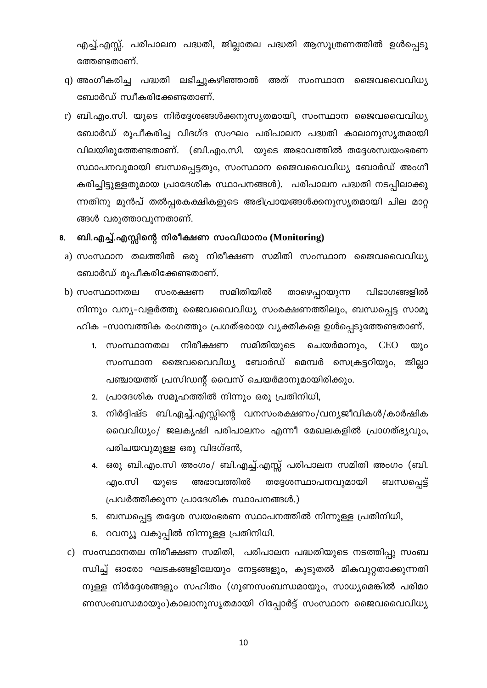എച്ച്.എസ്സ്. പരിപാലന പദ്ധതി, ജില്ലാതല പദ്ധതി ആസൂത്രണത്തിൽ ഉൾപ്പെടു ത്തേണ്ടതാണ്.

- q) അംഗീകരിച്ച പദ്ധതി ലഭിച്ചുകഴിഞ്ഞാൽ അത് സംസ്ഥാന ജൈവവൈവിധ്യ ബോർഡ് സ്വീകരിക്കേണ്ടതാണ്.
- r) ബി.എം.സി. യുടെ നിർദ്ദേശങ്ങൾക്കനുസൃതമായി, സംസ്ഥാന ജൈവവൈവിധ്യ ബോർഡ് രൂപീകരിച്ച വിദഗ്ദ സംഘം പരിപാലന പദ്ധതി കാലാനുസൃതമായി വിലയിരുത്തേണ്ടതാണ്. (ബി.എം.സി. യുടെ അഭാവത്തിൽ തദ്ദേശസ്വയംഭരണ സ്ഥാപനവുമായി ബന്ധപ്പെട്ടതും, സംസ്ഥാന ജൈവവൈവിധ്യ ബോർഡ് അംഗീ കരിച്ചിട്ടുള്ളതുമായ പ്രാദേശിക സ്ഥാപനങ്ങൾ). പരിപാലന പദ്ധതി നടപ്പിലാക്കു ന്നതിനു മുൻപ് തൽപ്പരകക്ഷികളുടെ അഭിപ്രായങ്ങൾക്കനുസൃതമായി ചില മാറ്റ ങ്ങൾ വരുത്താവുന്നതാണ്.

### ബി.എച്ച്.എസ്സിന്റെ നിരീക്ഷണ സംവിധാനം (Monitoring) 8.

- a) സംസ്ഥാന തലത്തിൽ ഒരു നിരീക്ഷണ സമിതി സംസ്ഥാന ജൈവവൈവിധ്യ ബോർഡ് രൂപീകരിക്കേണ്ടതാണ്.
- $b)$  സംസ്ഥാനതല സമിതിയിൽ സംരക്ഷണ താഴെപ്പറയുന്ന വിഭാഗങ്ങളിൽ നിന്നും വന്യ-വളർത്തു ജൈവവൈവിധ്യ സംരക്ഷണത്തിലും, ബന്ധപ്പെട്ട സാമൂ ഹിക -സാമ്പത്തിക രംഗത്തും പ്രഗത്ഭരായ വ്യക്തികളെ ഉൾപ്പെടുത്തേണ്ടതാണ്.
	- 1. സംസ്ഥാനതല നിരീക്ഷണ സമിതിയുടെ ചെയർമാനും, **CEO**  $\omega$ )o സംസ്ഥാന ജൈവവൈവിധ്യ ബോർഡ് മെമ്പർ സെക്രട്ടറിയും, ജില്ലാ പഞ്ചായത്ത് പ്രസിഡന്റ് വൈസ് ചെയർമാനുമായിരിക്കും.
	- 2. പ്രാദേശിക സമുഹത്തിൽ നിന്നും ഒരു പ്രതിനിധി,
	- 3. നിർദ്ദിഷ്ട ബി.എച്ച്.എസ്സിന്റെ വനസംരക്ഷണം/വന്യജീവികൾ/കാർഷിക വൈവിധ്യം/ ജലകൃഷി പരിപാലനം എന്നീ മേഖലകളിൽ പ്രാഗത്ഭ്യവും, പരിചയവുമുള്ള ഒരു വിദഗ്ദൻ,
	- 4. ഒരു ബി.എം.സി അംഗം/ ബി.എച്ച്.എസ്സ് പരിപാലന സമിതി അംഗം (ബി. എം.സി യുടെ അഭാവത്തിൽ തദ്ദേശസ്ഥാപനവുമായി ബന്ധപ്പെട്ട് പ്രവർത്തിക്കുന്ന പ്രാദേശിക സ്ഥാപനങ്ങൾ.)
	- 5. ബന്ധപ്പെട്ട തദ്ദേശ സ്വയംഭരണ സ്ഥാപനത്തിൽ നിന്നുള്ള പ്രതിനിധി,
	- 6. റവന്യൂ വകുപ്പിൽ നിന്നുള്ള പ്രതിനിധി.
- c) സംസ്ഥാനതല നിരീക്ഷണ സമിതി, പരിപാലന പദ്ധതിയുടെ നടത്തിപ്പു സംബ ന്ധിച്ച് ഓരോ ഘടകങ്ങളിലേയും നേട്ടങ്ങളും, കൂടുതൽ മികവുറ്റതാക്കുന്നതി നുള്ള നിർദ്ദേശങ്ങളും സഹിതം (ഗുണസംബന്ധമായും, സാധ്യമെങ്കിൽ പരിമാ ണസംബന്ധമായും)കാലാനുസൃതമായി റിപ്പോർട്ട് സംസ്ഥാന ജൈവവൈവിധ്യ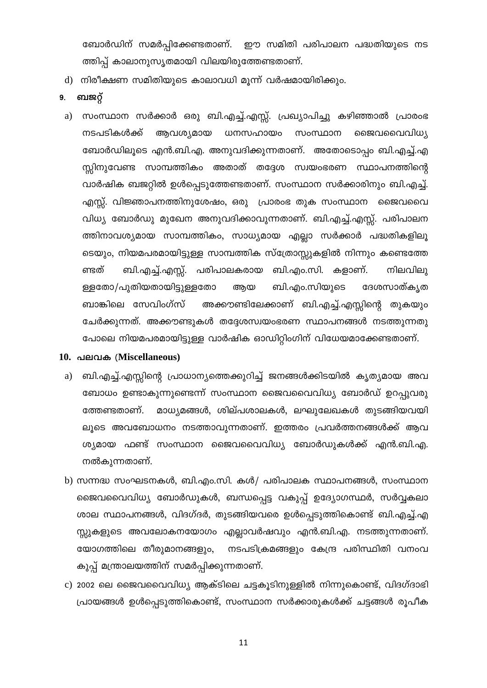ബോർഡിന് സമർപ്പിക്കേണ്ടതാണ്. ഈ സമിതി പരിപാലന പദ്ധതിയുടെ നട ത്തിപ്പ് കാലാനുസൃതമായി വിലയിരുത്തേണ്ടതാണ്.

- d) നിരീക്ഷണ സമിതിയുടെ കാലാവധി മൂന്ന് വർഷമായിരിക്കും.
- ബജറ്റ് 9.
- സംസ്ഥാന സർക്കാർ ഒരു ബി.എച്ച്.എസ്സ്. പ്രഖ്യാപിച്ചു കഴിഞ്ഞാൽ പ്രാരംഭ a) നടപടികൾക്ക് ആവശ്യമായ ധനസഹായം സംസ്ഥാന ജൈവവൈവിധ്യ ബോർഡിലൂടെ എൻ.ബി.എ. അനുവദിക്കുന്നതാണ്. അതോടൊപ്പം ബി.എച്ച്.എ സ്റ്റിനുവേണ്ട സാമ്പത്തികം അതാത് തദ്ദേശ സ്വയംഭരണ സ്ഥാപനത്തിന്റെ വാർഷിക ബജറ്റിൽ ഉൾപ്പെടുത്തേണ്ടതാണ്. സംസ്ഥാന സർക്കാരിനും ബി.എച്ച്. എസ്സ്. വിജ്ഞാപനത്തിനുശേഷം, ഒരു പ്രാരംഭ തുക സംസ്ഥാന ജൈവവൈ വിധ്യ ബോർഡു മുഖേന അനുവദിക്കാവുന്നതാണ്. ബി.എച്ച്.എസ്സ്. പരിപാലന ത്തിനാവശ്യമായ സാമ്പത്തികം, സാധ്യമായ എല്ലാ സർക്കാർ പദ്ധതികളിലൂ ടെയും, നിയമപരമായിട്ടുള്ള സാമ്പത്തിക സ്ത്രോസ്സുകളിൽ നിന്നും കണ്ടെത്തേ ണ്ടത് ബി.എച്ച്.എസ്സ്. പരിപാലകരായ ബി.എം.സി. കളാണ്. നിലവിലു ള്ളതോ/പുതിയതായിട്ടുള്ളതോ ആയ ബി.എം.സിയുടെ ദേശസാത്കൃത അക്കൗണ്ടിലേക്കാണ് ബി.എച്ച്.എസ്സിന്റെ തുകയും ബാങ്കിലെ സേവിംഗ്സ് ചേർക്കുന്നത്. അക്കൗണ്ടുകൾ തദ്ദേശസ്വയംഭരണ സ്ഥാപനങ്ങൾ നടത്തുന്നതു പോലെ നിയമപരമായിട്ടുള്ള വാർഷിക ഓഡിറ്റിംഗിന് വിധേയമാക്കേണ്ടതാണ്.
- 10. പലവക (Miscellaneous)
	- ബി.എച്ച്.എസ്സിന്റെ പ്രാധാന്യത്തെക്കുറിച്ച് ജനങ്ങൾക്കിടയിൽ കൃത്യമായ അവ a) ബോധം ഉണ്ടാകുന്നുണ്ടെന്ന് സംസ്ഥാന ജൈവവൈവിധ്യ ബോർഡ് ഉറപ്പുവരു ത്തേണ്ടതാണ്. മാധ്യമങ്ങൾ, ശില്പശാലകൾ, ലഘുലേഖകൾ തുടങ്ങിയവയി ലൂടെ അവബോധനം നടത്താവുന്നതാണ്. ഇത്തരം പ്രവർത്തനങ്ങൾക്ക് ആവ ശ്യമായ ഫണ്ട് സംസ്ഥാന ജൈവവൈവിധ്യ ബോർഡുകൾക്ക് എൻ.ബി.എ. നൽകുന്നതാണ്.
	- b) സന്നദ്ധ സംഘടനകൾ, ബി.എം.സി. കൾ/ പരിപാലക സ്ഥാപനങ്ങൾ, സംസ്ഥാന ജൈവവൈവിധ്യ ബോർഡുകൾ, ബന്ധപ്പെട്ട വകുപ്പ് ഉദ്യോഗസ്ഥർ, സർവ്വകലാ ശാല സ്ഥാപനങ്ങൾ, വിദഗ്ദർ, തുടങ്ങിയവരെ ഉൾപ്പെടുത്തികൊണ്ട് ബി.എച്ച്.എ സ്സുകളുടെ അവലോകനയോഗം എല്ലാവർഷവും എൻ.ബി.എ. നടത്തുന്നതാണ്. യോഗത്തിലെ തീരുമാനങ്ങളും, നടപടിക്രമങ്ങളും കേന്ദ്ര പരിസ്ഥിതി വനംവ കുപ്പ് മന്ത്രാലയത്തിന് സമർപ്പിക്കുന്നതാണ്.
	- c) 2002 ലെ ജൈവവൈവിധ്യ ആക്ടിലെ ചട്ടകൂടിനുള്ളിൽ നിന്നുകൊണ്ട്, വിദഗ്ദാഭി പ്രായങ്ങൾ ഉൾപ്പെടുത്തികൊണ്ട്, സംസ്ഥാന സർക്കാരുകൾക്ക് ചട്ടങ്ങൾ രൂപീക

11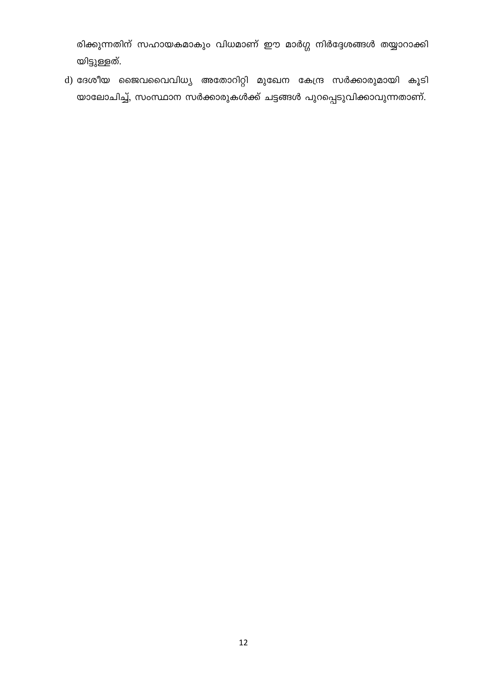രിക്കുന്നതിന് സഹായകമാകും വിധമാണ് ഈ മാർഗ്ഗ നിർദ്ദേശങ്ങൾ തയ്യാറാക്കി യിട്ടുള്ളത്.

d) ദേശീയ ജൈവവൈവിധ്യ അതോറിറ്റി മുഖേന കേന്ദ്ര സർക്കാരുമായി കൂടി യാലോചിച്ച്, സംസ്ഥാന സർക്കാരുകൾക്ക് ചട്ടങ്ങൾ പുറപ്പെടുവിക്കാവുന്നതാണ്.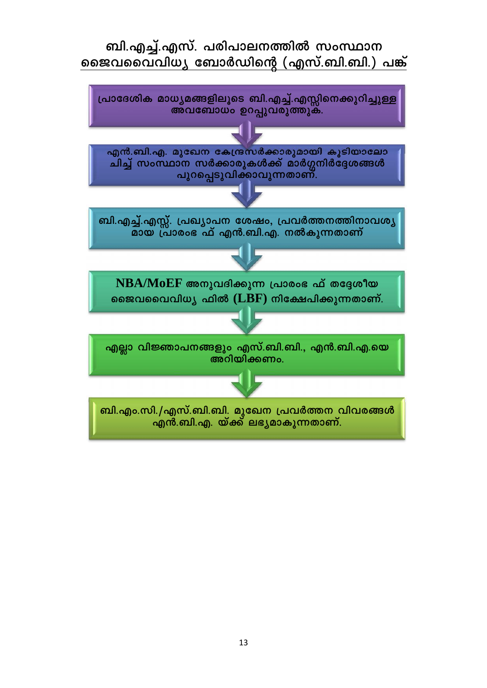# ബി.എച്ച്.എസ്. പരിപാലനത്തിൽ സംസ്ഥാന ജൈവവൈവിധ്യ ബോർഡിന്റെ (എസ്.ബി.ബി.) പങ്ക്

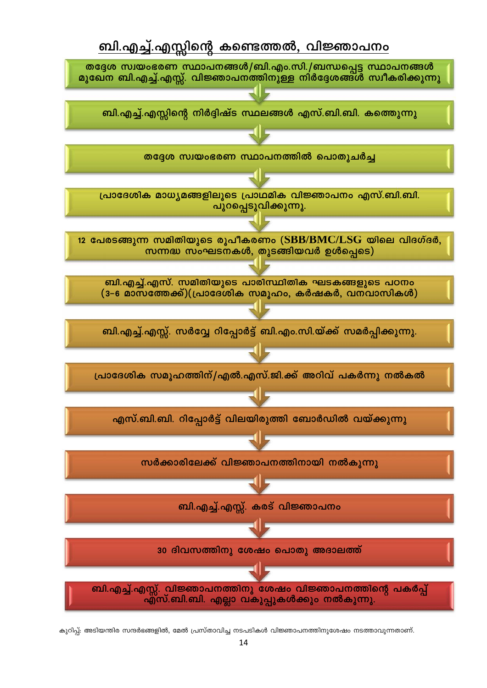# ബി.എച്ച്.എസ്സിന്റെ കണ്ടെത്തൽ, വിജ്ഞാപനം



കുറിപ്പ്: അടിയന്തിര സന്ദർഭങ്ങളിൽ, മേൽ പ്രസ്താവിച്ച നടപടികൾ വിജ്ഞാപനത്തിനുശേഷം നടത്താവുന്നതാണ്.